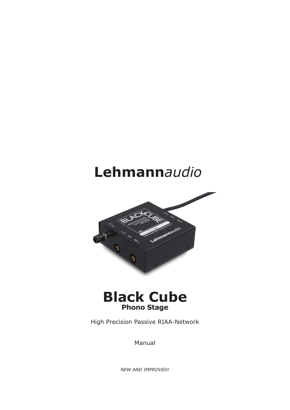# **Lehmann***audio*



## **Black Cube Phono Stage**

High Precision Passive RIAA-Network

Manual

*NEW AND IMPROVED!*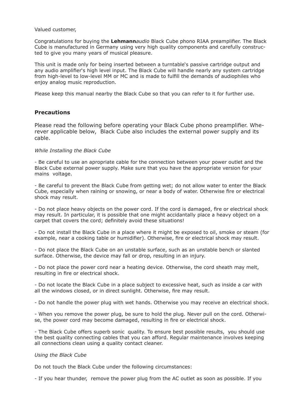#### Valued customer,

Congratulations for buying the **Lehmann***audio* Black Cube phono RIAA preamplifier. The Black Cube is manufactured in Germany using very high quality components and carefully constructed to give you many years of musical pleasure.

This unit is made only for being inserted between a turntable's passive cartridge output and any audio amplifier's high level input. The Black Cube will handle nearly any system cartridge from high-level to low-level MM or MC and is made to fulfill the demands of audiophiles who enjoy analog music reproduction.

Please keep this manual nearby the Black Cube so that you can refer to it for further use.

#### **Precautions**

Please read the following before operating your Black Cube phono preamplifier. Wherever applicable below, Black Cube also includes the external power supply and its cable.

#### *While Installing the Black Cube*

- Be careful to use an apropriate cable for the connection between your power outlet and the Black Cube external power supply. Make sure that you have the appropriate version for your mains voltage.

- Be careful to prevent the Black Cube from getting wet; do not allow water to enter the Black Cube, especially when raining or snowing, or near a body of water. Otherwise fire or electrical shock may result.

- Do not place heavy objects on the power cord. If the cord is damaged, fire or electrical shock may result. In particular, it is possible that one might accidantally place a heavy object on a carpet that covers the cord; definitely avoid these situations!

- Do not install the Black Cube in a place where it might be exposed to oil, smoke or steam (for example, near a cooking table or humidifier). Otherwise, fire or electrical shock may result.

- Do not place the Black Cube on an unstable surface, such as an unstable bench or slanted surface. Otherwise, the device may fall or drop, resulting in an injury.

- Do not place the power cord near a heating device. Otherwise, the cord sheath may melt, resulting in fire or electrical shock.

- Do not locate the Black Cube in a place subject to excessive heat, such as inside a car with all the windows closed, or in direct sunlight. Otherwise, fire may result.

- Do not handle the power plug with wet hands. Otherwise you may receive an electrical shock.

- When you remove the power plug, be sure to hold the plug. Never pull on the cord. Otherwise, the power cord may become damaged, resulting in fire or electrical shock.

- The Black Cube offers superb sonic quality. To ensure best possible results, you should use the best quality connecting cables that you can afford. Regular maintenance involves keeping all connections clean using a quality contact cleaner.

#### *Using the Black Cube*

Do not touch the Black Cube under the following circumstances:

- If you hear thunder, remove the power plug from the AC outlet as soon as possible. If you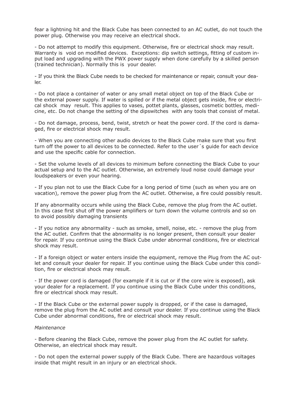fear a lightning hit and the Black Cube has been connected to an AC outlet, do not touch the power plug. Otherwise you may receive an electrical shock.

- Do not attempt to modify this equipment. Otherwise, fire or electrical shock may result. Warranty is void on modified devices. Exceptions: dip switch settings, fitting of custom input load and upgrading with the PWX power supply when done carefully by a skilled person (trained technician). Normally this is your dealer.

- If you think the Black Cube needs to be checked for maintenance or repair, consult your dealer.

- Do not place a container of water or any small metal object on top of the Black Cube or the external power supply. If water is spilled or if the metal object gets inside, fire or electrical shock may result. This applies to vases, pottet plants, glasses, cosmetic bottles, medicine, etc. Do not change the setting of the dipswitches with any tools that consist of metal.

- Do not damage, process, bend, twist, stretch or heat the power cord. If the cord is damaged, fire or electrical shock may result.

- When you are connecting other audio devices to the Black Cube make sure that you first turn off the power to all devices to be connected. Refer to the user´s guide for each device and use the specific cable for connection.

- Set the volume levels of all devices to minimum before connecting the Black Cube to your actual setup and to the AC outlet. Otherwise, an extremely loud noise could damage your loudspeakers or even your hearing.

- If you plan not to use the Black Cube for a long period of time (such as when you are on vacation), remove the power plug from the AC outlet. Otherwise, a fire could possibly result.

If any abnormality occurs while using the Black Cube, remove the plug from the AC outlet. In this case first shut off the power amplifiers or turn down the volume controls and so on to avoid possibly damaging transients

- If you notice any abnormality - such as smoke, smell, noise, etc. - remove the plug from the AC outlet. Confirm that the abnormality is no longer present, then consult your dealer for repair. If you continue using the Black Cube under abnormal conditions, fire or electrical shock may result.

- If a foreign object or water enters inside the equipment, remove the Plug from the AC outlet and consult your dealer for repair. If you continue using the Black Cube under this condition, fire or electrical shock may result.

- If the power cord is damaged (for example if it is cut or if the core wire is exposed), ask your dealer for a replacement. If you continue using the Black Cube under this conditions, fire or electrical shock may result.

- If the Black Cube or the external power supply is dropped, or if the case is damaged, remove the plug from the AC outlet and consult your dealer. If you continue using the Black Cube under abnormal conditions, fire or electrical shock may result.

#### *Maintenance*

- Before cleaning the Black Cube, remove the power plug from the AC outlet for safety. Otherwise, an electrical shock may result.

- Do not open the external power supply of the Black Cube. There are hazardous voltages inside that might result in an injury or an electrical shock.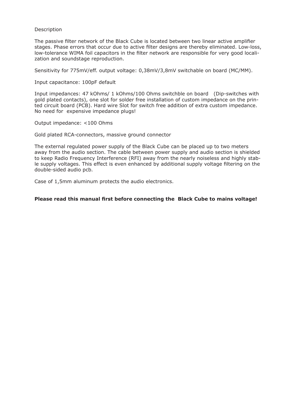#### Description

The passive filter network of the Black Cube is located between two linear active amplifier stages. Phase errors that occur due to active filter designs are thereby eliminated. Low-loss, low-tolerance WIMA foil capacitors in the filter network are responsible for very good localization and soundstage reproduction.

Sensitivity for 775mV/eff. output voltage: 0,38mV/3,8mV switchable on board (MC/MM).

Input capacitance: 100pF default

Input impedances: 47 kOhms/ 1 kOhms/100 Ohms switchble on board (Dip-switches with gold plated contacts), one slot for solder free installation of custom impedance on the printed circuit board (PCB). Hard wire Slot for switch free addition of extra custom impedance. No need for expensive impedance plugs!

Output impedance: <100 Ohms

Gold plated RCA-connectors, massive ground connector

The external regulated power supply of the Black Cube can be placed up to two meters away from the audio section. The cable between power supply and audio section is shielded to keep Radio Frequency Interference (RFI) away from the nearly noiseless and highly stable supply voltages. This effect is even enhanced by additional supply voltage filtering on the double-sided audio pcb.

Case of 1,5mm aluminum protects the audio electronics.

#### **Please read this manual first before connecting the Black Cube to mains voltage!**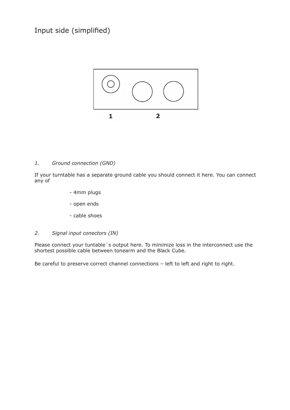## Input side (simplified)



#### *1. Ground connection (GND)*

If your turntable has a separate ground cable you should connect it here. You can connect any of

- 4mm plugs
- open ends
- cable shoes
- *2. Signal input conectors (IN)*

Please connect your tuntable´s output here. To minimize loss in the interconnect use the shortest possible cable between tonearm and the Black Cube.

Be careful to preserve correct channel connections – left to left and right to right.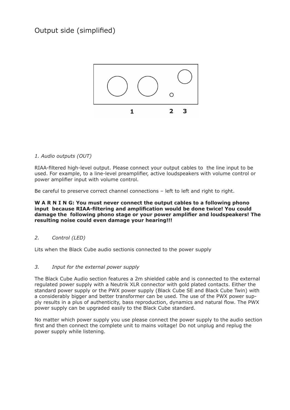## Output side (simplified)



#### *1. Audio outputs (OUT)*

RIAA-filtered high-level output. Please connect your output cables to the line input to be used. For example, to a line-level preamplifier, active loudspeakers with volume control or power amplifier input with volume control.

Be careful to preserve correct channel connections – left to left and right to right.

#### **W A R N I N G: You must never connect the output cables to a following phono input because RIAA-filtering and amplification would be done twice! You could damage the following phono stage or your power amplifier and loudspeakers! The resulting noise could even damage your hearing!!!**

#### *2. Control (LED)*

Lits when the Black Cube audio sectionis connected to the power supply

#### *3. Input for the external power supply*

The Black Cube Audio section features a 2m shielded cable and is connected to the external regulated power supply with a Neutrik XLR connector with gold plated contacts. Either the standard power supply or the PWX power supply (Black Cube SE and Black Cube Twin) with a considerably bigger and better transformer can be used. The use of the PWX power supply results in a plus of authenticity, bass reproduction, dynamics and natural flow. The PWX power supply can be upgraded easily to the Black Cube standard.

No matter which power supply you use please connect the power supply to the audio section first and then connect the complete unit to mains voltage! Do not unplug and replug the power supply while listening.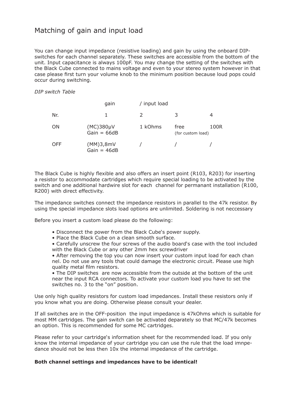## Matching of gain and input load

You can change input impedance (resistive loading) and gain by using the onboard DIPswitches for each channel separately. These switches are accessible from the bottom of the unit. Input capacitance is always 100pF. You may change the setting of the switches with the Black Cube connected to mains voltage and even to your stereo system however in that case please first turn your volume knob to the minimum position because loud pops could occur during switching.

#### *DIP switch Table*

|            | gain                            | / input load  |                           |      |
|------------|---------------------------------|---------------|---------------------------|------|
| Nr.        | 1.                              | $\mathcal{L}$ | 3                         | 4    |
| ON         | $(MC)380\mu V$<br>$Gain = 66dB$ | 1 kOhms       | free<br>(for custom load) | 100R |
| <b>OFF</b> | (MM)3,8mV<br>$Gain = 46dB$      |               |                           |      |

The Black Cube is highly flexible and also offers an insert point (R103, R203) for inserting a resistor to accommodate cartridges which require special loading to be activated by the switch and one additional hardwire slot for each channel for permanant installation (R100, R200) with direct effectivity.

The impedance switches connect the impedance resistors in parallel to the 47k resistor. By using the special impedance slots load options are unlimited. Soldering is not neccessary

Before you insert a custom load please do the following:

- Disconnect the power from the Black Cube's power supply.
- Place the Black Cube on a clean smooth surface.

 • Carefully unscrew the four screws of the audio board's case with the tool included with the Black Cube or any other 2mm hex screwdriver

 • After removing the top you can now insert your custom input load for each chan nel. Do not use any tools that could damage the electronic circuit. Please use high quality metal film resistors.

 • The DIP switches are now accessible from the outside at the bottom of the unit near the input RCA connectors. To activate your custom load you have to set the switches no. 3 to the "on" position.

Use only high quality resistors for custom load impedances. Install these resistors only if you know what you are doing. Otherwise please consult your dealer.

If all switches are in the OFF-position the input impedance is 47kOhms which is suitable for most MM cartridges. The gain switch can be activated deparately so that MC/47k becomes an option. This is recommended for some MC cartridges.

Please refer to your cartridge's information sheet for the recommended load. If you only know the internal impedance of your cartridge you can use the rule that the load imnpedance should not be less then 10x the internal impedance of the cartridge.

#### **Both channel settings and impedances have to be identical!**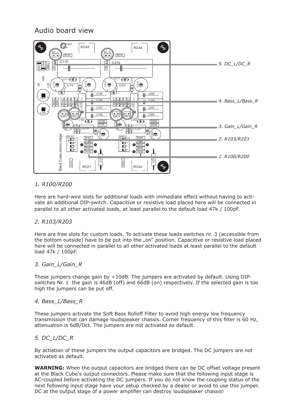## Audio board view



### *1. R100/R200*

Here are hard-wire slots for additional loads with immediate effect without having to activate an additional DIP-switch. Capacitive or resistive load placed here will be connected in parallel to all other activated loads, at least parallel to the default load 47k / 100pF.

#### *2. R103/R203*

Here are free slots for custom loads. To activate these loads switches nr. 3 (accessible from the bottom outside) have to be put into the "on" position. Capacitive or resistive load placed here will be connected in parallel to all other activated loads at least parallel to the default load 47k / 100pF.

#### *3. Gain\_L/Gain\_R*

These jumpers change gain by +10dB. The jumpers are activated by default. Using DIPswitches Nr. 1 the gain is 46dB (off) and 66dB (on) respectively. If the selected gain is too high the jumpers can be put off.

#### *4. Bass\_L/Bass\_R*

These jumpers activate the Soft Bass Rolloff Filter to avoid high energy low frequency transmission that can damage loudspeaker chassis. Corner frequency of this filter is 60 Hz, attenuation is 6dB/Oct. The jumpers are not activated as default.

#### *5. DC\_L/DC\_R*

By actiation of these jumpers the output capacitors are bridged. The DC jumpers are not activated as default.

**WARNING:** When the output capacitors are bridged there can be DC offset voltage present at the Black Cube's output connectors. Please make sure that the following input stage is AC-coupled before activating the DC jumpers. If you do not know the coupling status of the next following input stage have your setup checked by a dealer or avoid to use this jumper. DC at the output stage of a power amplifier can destroy loudspeaker chassis!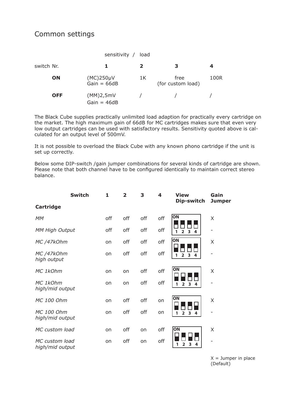## Common settings

|            |            | sensitivity / load         |  |              |                           |      |
|------------|------------|----------------------------|--|--------------|---------------------------|------|
| switch Nr. |            | 1.                         |  | $\mathbf{z}$ | 3                         | 4    |
|            | ON         | (MC)250µV<br>$Gain = 66dB$ |  | 1K           | free<br>(for custom load) | 100R |
|            | <b>OFF</b> | (MM)2,5mV<br>$Gain = 46dB$ |  |              |                           |      |

The Black Cube supplies practically unlimited load adaption for practically every cartridge on the market. The high maximum gain of 66dB for MC cartridges makes sure that even very low output cartridges can be used with satisfactory results. Sensitivity quoted above is calculated for an output level of 500mV.

It is not possible to overload the Black Cube with any known phono cartridge if the unit is set up correctly.

Below some DIP-switch /gain jumper combinations for several kinds of cartridge are shown. Please note that both channel have to be configured identically to maintain correct stereo balance.

|                                   | <b>Switch</b> | 1   | $\overline{\mathbf{2}}$ | 3   | 4   | <b>View</b><br>Dip-switch                                                 | Gain<br><b>Jumper</b>    |
|-----------------------------------|---------------|-----|-------------------------|-----|-----|---------------------------------------------------------------------------|--------------------------|
| <b>Cartridge</b>                  |               |     |                         |     |     |                                                                           |                          |
| MМ                                |               | off | off                     | off | off | ON                                                                        | X                        |
| <b>MM High Output</b>             |               | off | off                     | off | off | $\overline{\mathbf{3}}$<br>1<br>$\overline{2}$<br>4                       | $\overline{\phantom{0}}$ |
| MC/47k0hm                         |               | on  | off                     | off | off | ON                                                                        | X                        |
| MC/47k0hm<br>high output          |               | on  | off                     | off | off | 1<br>$\overline{2}$<br>3<br>4                                             | $\overline{\phantom{0}}$ |
| MC 1kOhm                          |               | on  | on                      | off | off | ON                                                                        | X                        |
| MC 1kOhm<br>high/mid output       |               | on  | on                      | off | off | $\overline{\mathbf{4}}$<br>$\overline{\mathbf{3}}$<br>1<br>$\overline{2}$ | $\overline{\phantom{0}}$ |
| <b>MC 100 Ohm</b>                 |               | on  | off                     | off | on  | ON                                                                        | X                        |
| MC 100 Ohm<br>high/mid output     |               | on  | off                     | off | on  | $\overline{\mathbf{3}}$<br>$\overline{2}$<br>4<br>1                       | -                        |
| MC custom load                    |               | on  | off                     | on  | off | ON                                                                        | Χ                        |
| MC custom load<br>high/mid output |               | on  | off                     | on  | off | $\overline{\mathbf{2}}$<br>3<br>1<br>4                                    | -                        |

 $X =$  Jumper in place (Default)